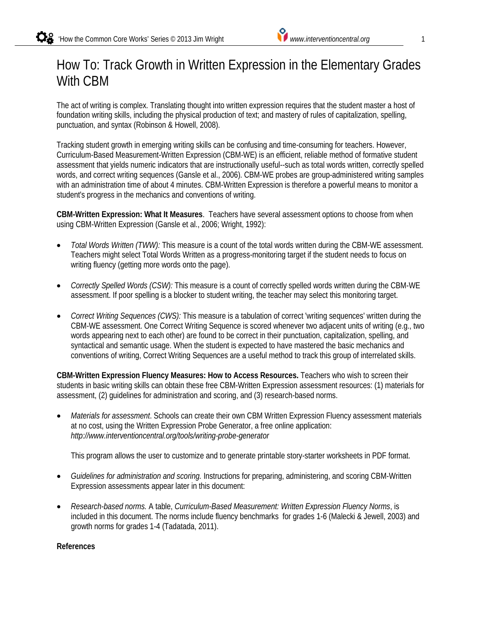# How To: Track Growth in Written Expression in the Elementary Grades With CBM

The act of writing is complex. Translating thought into written expression requires that the student master a host of foundation writing skills, including the physical production of text; and mastery of rules of capitalization, spelling, punctuation, and syntax (Robinson & Howell, 2008).

Tracking student growth in emerging writing skills can be confusing and time-consuming for teachers. However, Curriculum-Based Measurement-Written Expression (CBM-WE) is an efficient, reliable method of formative student assessment that yields numeric indicators that are instructionally useful--such as total words written, correctly spelled words, and correct writing sequences (Gansle et al., 2006). CBM-WE probes are group-administered writing samples with an administration time of about 4 minutes. CBM-Written Expression is therefore a powerful means to monitor a student's progress in the mechanics and conventions of writing.

**CBM-Written Expression: What It Measures**. Teachers have several assessment options to choose from when using CBM-Written Expression (Gansle et al., 2006; Wright, 1992):

- *Total Words Written (TWW):* This measure is a count of the total words written during the CBM-WE assessment. Teachers might select Total Words Written as a progress-monitoring target if the student needs to focus on writing fluency (getting more words onto the page).
- *Correctly Spelled Words (CSW):* This measure is a count of correctly spelled words written during the CBM-WE assessment. If poor spelling is a blocker to student writing, the teacher may select this monitoring target.
- *Correct Writing Sequences (CWS):* This measure is a tabulation of correct 'writing sequences' written during the CBM-WE assessment. One Correct Writing Sequence is scored whenever two adjacent units of writing (e.g., two words appearing next to each other) are found to be correct in their punctuation, capitalization, spelling, and syntactical and semantic usage. When the student is expected to have mastered the basic mechanics and conventions of writing, Correct Writing Sequences are a useful method to track this group of interrelated skills.

**CBM-Written Expression Fluency Measures: How to Access Resources.** Teachers who wish to screen their students in basic writing skills can obtain these free CBM-Written Expression assessment resources: (1) materials for assessment, (2) guidelines for administration and scoring, and (3) research-based norms.

• *Materials for assessment*. Schools can create their own CBM Written Expression Fluency assessment materials at no cost, using the Written Expression Probe Generator, a free online application: *http://www.interventioncentral.org/tools/writing-probe-generator*

This program allows the user to customize and to generate printable story-starter worksheets in PDF format.

- *Guidelines for administration and scoring.* Instructions for preparing, administering, and scoring CBM-Written Expression assessments appear later in this document:
- *Research-based norms.* A table, *Curriculum-Based Measurement: Written Expression Fluency Norms*, is included in this document. The norms include fluency benchmarks for grades 1-6 (Malecki & Jewell, 2003) and growth norms for grades 1-4 (Tadatada, 2011).

#### **References**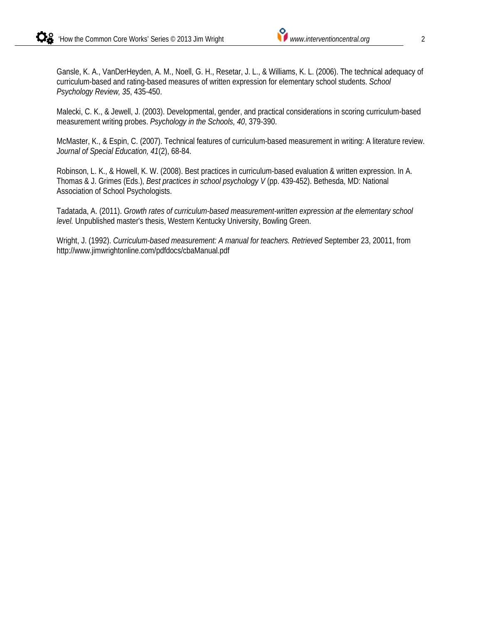Gansle, K. A., VanDerHeyden, A. M., Noell, G. H., Resetar, J. L., & Williams, K. L. (2006). The technical adequacy of curriculum-based and rating-based measures of written expression for elementary school students. *School Psychology Review, 35*, 435-450.

Malecki, C. K., & Jewell, J. (2003). Developmental, gender, and practical considerations in scoring curriculum-based measurement writing probes. *Psychology in the Schools, 40*, 379-390.

McMaster, K., & Espin, C. (2007). Technical features of curriculum-based measurement in writing: A literature review. *Journal of Special Education, 41*(2), 68-84.

Robinson, L. K., & Howell, K. W. (2008). Best practices in curriculum-based evaluation & written expression. In A. Thomas & J. Grimes (Eds.), *Best practices in school psychology V* (pp. 439-452). Bethesda, MD: National Association of School Psychologists.

Tadatada, A. (2011). *Growth rates of curriculum-based measurement-written expression at the elementary school level.* Unpublished master's thesis, Western Kentucky University, Bowling Green.

Wright, J. (1992). *Curriculum-based measurement: A manual for teachers. Retrieved* September 23, 20011, from http://www.jimwrightonline.com/pdfdocs/cbaManual.pdf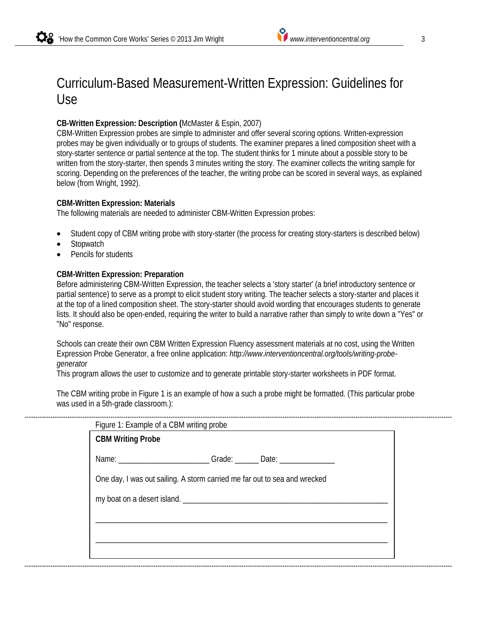## Curriculum-Based Measurement-Written Expression: Guidelines for Use

### **CB-Written Expression: Description (**McMaster & Espin, 2007)

CBM-Written Expression probes are simple to administer and offer several scoring options. Written-expression probes may be given individually or to groups of students. The examiner prepares a lined composition sheet with a story-starter sentence or partial sentence at the top. The student thinks for 1 minute about a possible story to be written from the story-starter, then spends 3 minutes writing the story. The examiner collects the writing sample for scoring. Depending on the preferences of the teacher, the writing probe can be scored in several ways, as explained below (from Wright, 1992).

#### **CBM-Written Expression: Materials**

The following materials are needed to administer CBM-Written Expression probes:

- Student copy of CBM writing probe with story-starter (the process for creating story-starters is described below)
- Stopwatch
- Pencils for students

#### **CBM-Written Expression: Preparation**

Before administering CBM-Written Expression, the teacher selects a 'story starter' (a brief introductory sentence or partial sentence) to serve as a prompt to elicit student story writing. The teacher selects a story-starter and places it at the top of a lined composition sheet. The story-starter should avoid wording that encourages students to generate lists. It should also be open-ended, requiring the writer to build a narrative rather than simply to write down a "Yes" or "No" response.

Schools can create their own CBM Written Expression Fluency assessment materials at no cost, using the Written Expression Probe Generator, a free online application: *http://www.interventioncentral.org/tools/writing-probegenerator*

This program allows the user to customize and to generate printable story-starter worksheets in PDF format.

The CBM writing probe in Figure 1 is an example of how a such a probe might be formatted. (This particular probe was used in a 5th-grade classroom.):

| Figure 1: Example of a CBM writing probe                                         |  |  |  |  |
|----------------------------------------------------------------------------------|--|--|--|--|
| <b>CBM Writing Probe</b>                                                         |  |  |  |  |
| Name: ______________________________Grade: ________ Date: ______________________ |  |  |  |  |
| One day, I was out sailing. A storm carried me far out to sea and wrecked        |  |  |  |  |
|                                                                                  |  |  |  |  |
|                                                                                  |  |  |  |  |
|                                                                                  |  |  |  |  |
|                                                                                  |  |  |  |  |
|                                                                                  |  |  |  |  |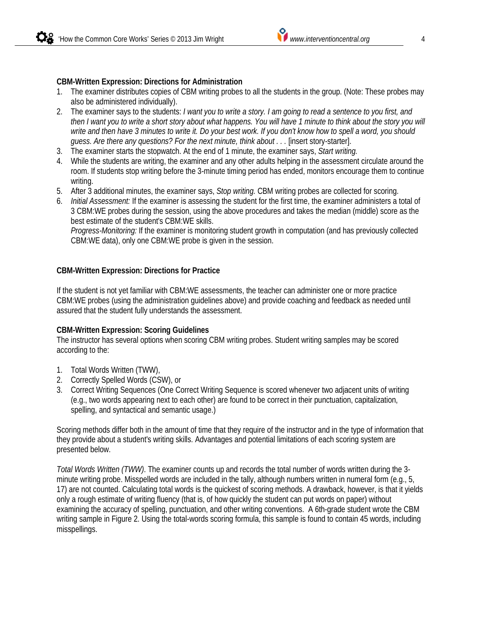#### **CBM-Written Expression: Directions for Administration**

- 1. The examiner distributes copies of CBM writing probes to all the students in the group. (Note: These probes may also be administered individually).
- 2. The examiner says to the students: *I want you to write a story. I am going to read a sentence to you first, and then I want you to write a short story about what happens. You will have 1 minute to think about the story you will write and then have 3 minutes to write it. Do your best work. If you don't know how to spell a word, you should guess. Are there any questions? For the next minute, think about . . . [insert story-starter].*
- 3. The examiner starts the stopwatch. At the end of 1 minute, the examiner says, *Start writing.*
- 4. While the students are writing, the examiner and any other adults helping in the assessment circulate around the room. If students stop writing before the 3-minute timing period has ended, monitors encourage them to continue writing.
- 5. After 3 additional minutes, the examiner says, *Stop writing.* CBM writing probes are collected for scoring.
- 6. *Initial Assessment:* If the examiner is assessing the student for the first time, the examiner administers a total of 3 CBM:WE probes during the session, using the above procedures and takes the median (middle) score as the best estimate of the student's CBM:WE skills.

*Progress-Monitoring:* If the examiner is monitoring student growth in computation (and has previously collected CBM:WE data), only one CBM:WE probe is given in the session.

#### **CBM-Written Expression: Directions for Practice**

If the student is not yet familiar with CBM:WE assessments, the teacher can administer one or more practice CBM:WE probes (using the administration guidelines above) and provide coaching and feedback as needed until assured that the student fully understands the assessment.

#### **CBM-Written Expression: Scoring Guidelines**

The instructor has several options when scoring CBM writing probes. Student writing samples may be scored according to the:

- 1. Total Words Written (TWW),
- 2. Correctly Spelled Words (CSW), or
- 3. Correct Writing Sequences (One Correct Writing Sequence is scored whenever two adjacent units of writing (e.g., two words appearing next to each other) are found to be correct in their punctuation, capitalization, spelling, and syntactical and semantic usage.)

Scoring methods differ both in the amount of time that they require of the instructor and in the type of information that they provide about a student's writing skills. Advantages and potential limitations of each scoring system are presented below.

*Total Words Written (TWW)*. The examiner counts up and records the total number of words written during the 3 minute writing probe. Misspelled words are included in the tally, although numbers written in numeral form (e.g., 5, 17) are not counted. Calculating total words is the quickest of scoring methods. A drawback, however, is that it yields only a rough estimate of writing fluency (that is, of how quickly the student can put words on paper) without examining the accuracy of spelling, punctuation, and other writing conventions. A 6th-grade student wrote the CBM writing sample in Figure 2. Using the total-words scoring formula, this sample is found to contain 45 words, including misspellings.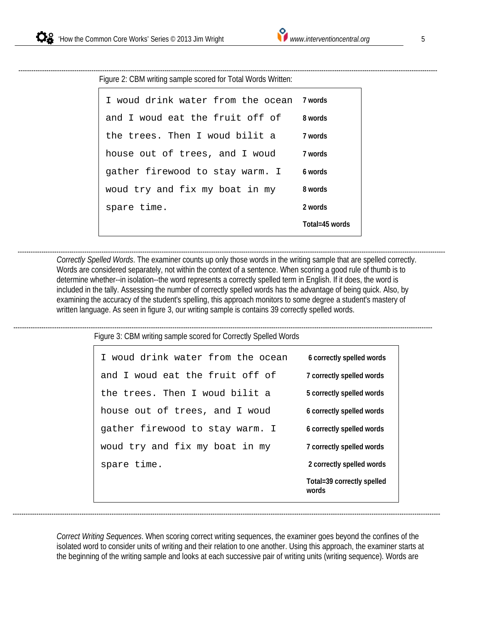Figure 2: CBM writing sample scored for Total Words Written: ---------------------------------------------------------------------------------------------------------------------------------------------------------------------------------------------------

| I woud drink water from the ocean Jwords |                |
|------------------------------------------|----------------|
| and I woud eat the fruit off of          | 8 words        |
| the trees. Then I woud bilit a           | 7 words        |
| house out of trees, and I woud           | 7 words        |
| gather firewood to stay warm. I          | 6 words        |
| woud try and fix my boat in my           | 8 words        |
| spare time.                              | 2 words        |
|                                          | Total=45 words |

*Correctly Spelled Words*. The examiner counts up only those words in the writing sample that are spelled correctly. Words are considered separately, not within the context of a sentence. When scoring a good rule of thumb is to determine whether--in isolation--the word represents a correctly spelled term in English. If it does, the word is included in the tally. Assessing the number of correctly spelled words has the advantage of being quick. Also, by examining the accuracy of the student's spelling, this approach monitors to some degree a student's mastery of written language. As seen in figure 3, our writing sample is contains 39 correctly spelled words. -------------------------------------------------------------------------------------------------------------------------------------------------------------------------------------------------------

Figure 3: CBM writing sample scored for Correctly Spelled Words ---------------------------------------------------------------------------------------------------------------------------------------------------------------------------------------------------

| I woud drink water from the ocean | 6 correctly spelled words           |
|-----------------------------------|-------------------------------------|
| and I woud eat the fruit off of   | 7 correctly spelled words           |
| the trees. Then I woud bilit a    | 5 correctly spelled words           |
| house out of trees, and I woud    | 6 correctly spelled words           |
| gather firewood to stay warm. I   | 6 correctly spelled words           |
| woud try and fix my boat in my    | 7 correctly spelled words           |
| spare time.                       | 2 correctly spelled words           |
|                                   | Total=39 correctly spelled<br>words |

*Correct Writing Sequences*. When scoring correct writing sequences, the examiner goes beyond the confines of the isolated word to consider units of writing and their relation to one another. Using this approach, the examiner starts at the beginning of the writing sample and looks at each successive pair of writing units (writing sequence). Words are

-------------------------------------------------------------------------------------------------------------------------------------------------------------------------------------------------------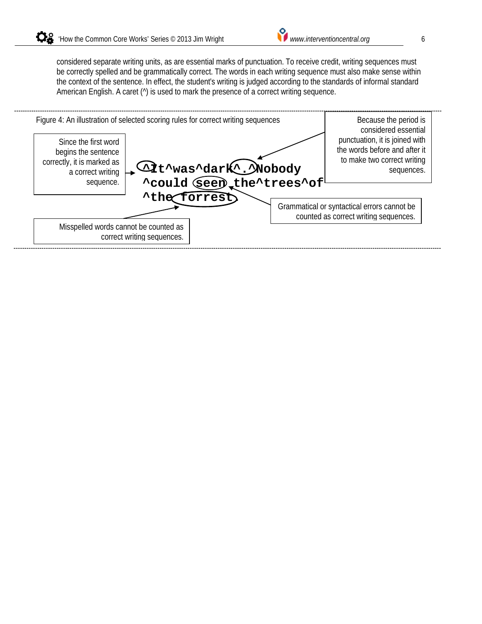considered separate writing units, as are essential marks of punctuation. To receive credit, writing sequences must be correctly spelled and be grammatically correct. The words in each writing sequence must also make sense within the context of the sentence. In effect, the student's writing is judged according to the standards of informal standard American English. A caret ( $\hat{ }$ ) is used to mark the presence of a correct writing sequence.

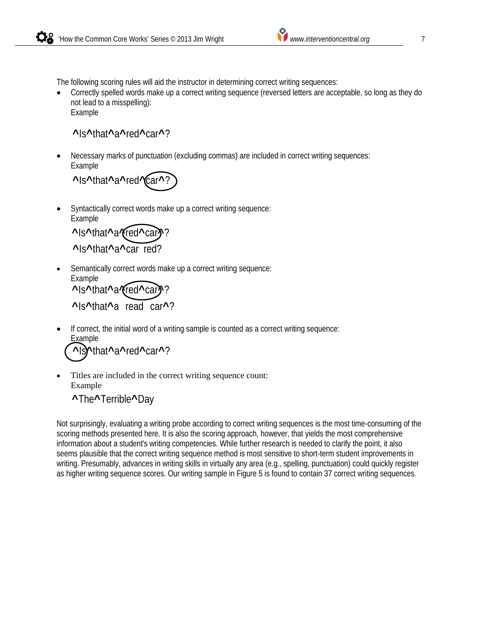The following scoring rules will aid the instructor in determining correct writing sequences:

• Correctly spelled words make up a correct writing sequence (reversed letters are acceptable, so long as they do not lead to a misspelling): Example

**^**Is**^**that**^**a**^**red**^**car**^**?

• Necessary marks of punctuation (excluding commas) are included in correct writing sequences: Example

**^**Is**^**that**^**a**^**red**^**car**^**?

• Syntactically correct words make up a correct writing sequence: Example

**^**Is**^**that**^**a**^**red**^**car**^**? **^**Is**^**that**^**a**^**car red?

Semantically correct words make up a correct writing sequence: Example

```
^Is^that^a^red^car^?
^Is^that^a read car^?
```
If correct, the initial word of a writing sample is counted as a correct writing sequence: **Example** 

**^**Is**^**that**^**a**^**red**^**car**^**?

Titles are included in the correct writing sequence count: Example

**^**The**^**Terrible**^**Day

Not surprisingly, evaluating a writing probe according to correct writing sequences is the most time-consuming of the scoring methods presented here. It is also the scoring approach, however, that yields the most comprehensive information about a student's writing competencies. While further research is needed to clarify the point, it also seems plausible that the correct writing sequence method is most sensitive to short-term student improvements in writing. Presumably, advances in writing skills in virtually any area (e.g., spelling, punctuation) could quickly register as higher writing sequence scores. Our writing sample in Figure 5 is found to contain 37 correct writing sequences.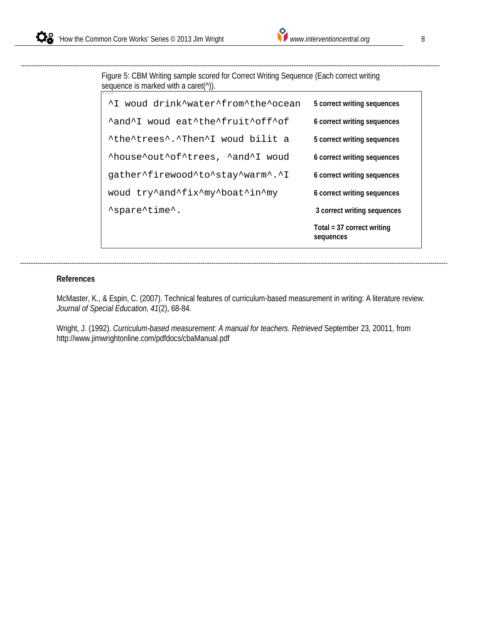Figure 5: CBM Writing sample scored for Correct Writing Sequence (Each correct writing sequence is marked with a caret(^)).

---------------------------------------------------------------------------------------------------------------------------------------------------------------------------------------------------

| ^I woud drink^water^from^the^ocean | 5 correct writing sequences               |
|------------------------------------|-------------------------------------------|
| Aand L woud eat the fruit of f of  | 6 correct writing sequences               |
| "the trees". Then'I woud bilit a   | 5 correct writing sequences               |
| AhouseAoutAofAtrees, AandAI woud   | 6 correct writing sequences               |
| gather^firewood^to^stay^warm^.^I   | 6 correct writing sequences               |
| woud try^and^fix^my^boat^in^my     | 6 correct writing sequences               |
| 'spare'time'.                      | 3 correct writing sequences               |
|                                    | Total = $37$ correct writing<br>sequences |

#### **References**

McMaster, K., & Espin, C. (2007). Technical features of curriculum-based measurement in writing: A literature review. *Journal of Special Education, 41*(2), 68-84.

Wright, J. (1992). *Curriculum-based measurement: A manual for teachers. Retrieved* September 23, 20011, from http://www.jimwrightonline.com/pdfdocs/cbaManual.pdf

-------------------------------------------------------------------------------------------------------------------------------------------------------------------------------------------------------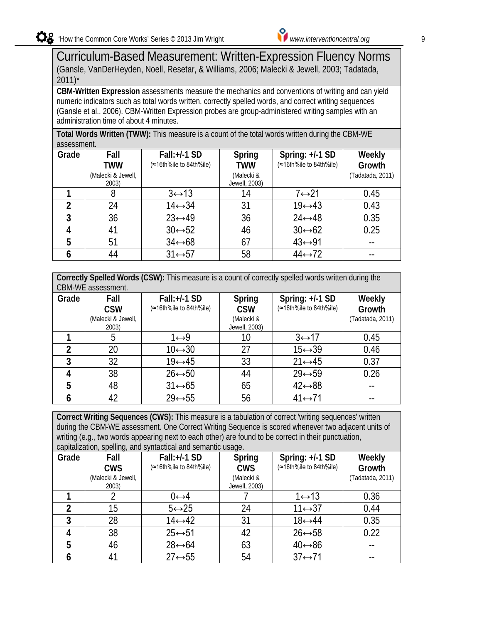## Curriculum-Based Measurement: Written-Expression Fluency Norms (Gansle, VanDerHeyden, Noell, Resetar, & Williams, 2006; Malecki & Jewell, 2003; Tadatada,  $2011$ <sup>\*</sup>

**CBM-Written Expression** assessments measure the mechanics and conventions of writing and can yield numeric indicators such as total words written, correctly spelled words, and correct writing sequences (Gansle et al., 2006). CBM-Written Expression probes are group-administered writing samples with an administration time of about 4 minutes.

**Total Words Written (TWW):** This measure is a count of the total words written during the CBM-WE assessment.

| Grade | Fall               | $Fall:+/1$ SD           | Spring        | Spring: +/-1 SD         | Weekly           |
|-------|--------------------|-------------------------|---------------|-------------------------|------------------|
|       | <b>TWW</b>         | (≈16th%ile to 84th%ile) | <b>TWW</b>    | (≈16th%ile to 84th%ile) | Growth           |
|       | (Malecki & Jewell, |                         | (Malecki &    |                         | (Tadatada, 2011) |
|       | 2003)              |                         | Jewell, 2003) |                         |                  |
|       |                    | $3 \leftrightarrow 13$  | 14            | $7 \leftrightarrow 21$  | 0.45             |
|       | 24                 | $14 \leftrightarrow 34$ | 31            | $19 \leftrightarrow 43$ | 0.43             |
| 3     | 36                 | $23 \leftrightarrow 49$ | 36            | $24 \leftrightarrow 48$ | 0.35             |
|       | 41                 | $30 \leftrightarrow 52$ | 46            | $30 \leftrightarrow 62$ | 0.25             |
| 5     | 51                 | $34 \leftrightarrow 68$ | 67            | $43 \leftrightarrow 91$ |                  |
|       | 44                 | $31 \leftrightarrow 57$ | 58            | $44 \leftrightarrow 72$ |                  |

| Correctly Spelled Words (CSW): This measure is a count of correctly spelled words written during the |
|------------------------------------------------------------------------------------------------------|
| CBM-WE assessment.                                                                                   |

| <b>UDIVI-VVL ASSUSSITIUIII.</b> |                             |                                         |                             |                                              |                  |
|---------------------------------|-----------------------------|-----------------------------------------|-----------------------------|----------------------------------------------|------------------|
| Grade                           | Fall<br><b>CSW</b>          | Fall:+/-1 SD<br>(≈16th%ile to 84th%ile) | Spring<br><b>CSW</b>        | Spring: $+/-1$ SD<br>(≈16th%ile to 84th%ile) | Weekly<br>Growth |
|                                 | (Malecki & Jewell,<br>2003) |                                         | (Malecki &<br>Jewell, 2003) |                                              | (Tadatada, 2011) |
|                                 | ე                           | 1↔9                                     | 10                          | $3 \leftrightarrow 17$                       | 0.45             |
|                                 | 20                          | $10 \leftrightarrow 30$                 | 27                          | $15 \leftrightarrow 39$                      | 0.46             |
| 3                               | 32                          | $19 \leftrightarrow 45$                 | 33                          | $21 \leftrightarrow 45$                      | 0.37             |
|                                 | 38                          | $26 \leftrightarrow 50$                 | 44                          | $29 \leftrightarrow 59$                      | 0.26             |
| 5                               | 48                          | $31 \leftrightarrow 65$                 | 65                          | $42 \leftrightarrow 88$                      | --               |
|                                 | 42                          | $29 \leftrightarrow 55$                 | 56                          | $41 \leftrightarrow 71$                      |                  |

**Correct Writing Sequences (CWS):** This measure is a tabulation of correct 'writing sequences' written during the CBM-WE assessment. One Correct Writing Sequence is scored whenever two adjacent units of writing (e.g., two words appearing next to each other) are found to be correct in their punctuation, capitalization, spelling, and syntactical and semantic usage.

|       | capitalization, opoliting, and opinaction and comanto acago. |                         |                             |                         |                  |
|-------|--------------------------------------------------------------|-------------------------|-----------------------------|-------------------------|------------------|
| Grade | Fall                                                         | Fall:+/-1 SD            | Spring                      | Spring: $+/-1$ SD       | Weekly           |
|       | <b>CWS</b>                                                   | (≈16th%ile to 84th%ile) | <b>CWS</b>                  | (≈16th%ile to 84th%ile) | Growth           |
|       | (Malecki & Jewell,<br>2003)                                  |                         | (Malecki &<br>Jewell, 2003) |                         | (Tadatada, 2011) |
|       |                                                              | $0 \leftrightarrow 4$   |                             | $1 \leftrightarrow 13$  | 0.36             |
|       | 15                                                           | $5 \leftrightarrow 25$  | 24                          | $11 \leftrightarrow 37$ | 0.44             |
| 3     | 28                                                           | $14 \leftrightarrow 42$ | 31                          | $18 \leftrightarrow 44$ | 0.35             |
|       | 38                                                           | $25 \leftrightarrow 51$ | 42                          | $26 \leftrightarrow 58$ | 0.22             |
| 5     | 46                                                           | $28 \leftrightarrow 64$ | 63                          | $40 \leftrightarrow 86$ | --               |
|       | 41                                                           | $27 \leftrightarrow 55$ | 54                          | $37 \leftrightarrow 71$ |                  |